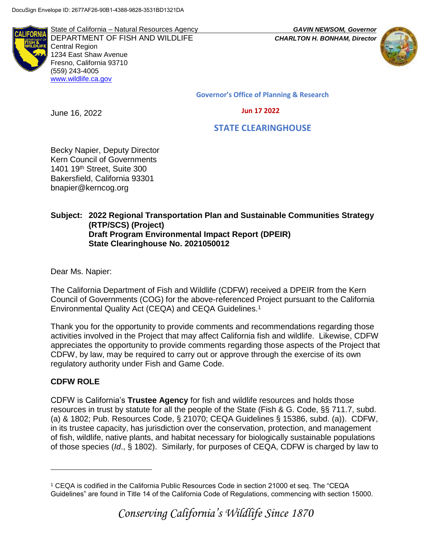

State of California – Natural Resources Agency *GAVIN NEWSOM, Governor* DEPARTMENT OF FISH AND WILDLIFE *CHARLTON H. BONHAM, Director*  Central Region 1234 East Shaw Avenue Fresno, California 93710 (559) 243-4005 [www.wildlife.ca.gov](http://www.cdfw.ca.gov/)



**Governor's Office of Planning & Research**

#### **Jun 17 2022**

 **STATE CLEARINGHOUSE**

Becky Napier, Deputy Director Kern Council of Governments 1401 19th Street, Suite 300 Bakersfield, California 93301 bnapier@kerncog.org

# **Subject: 2022 Regional Transportation Plan and Sustainable Communities Strategy (RTP/SCS) (Project) Draft Program Environmental Impact Report (DPEIR) State Clearinghouse No. 2021050012**

Dear Ms. Napier:

June 16, 2022

The California Department of Fish and Wildlife (CDFW) received a DPEIR from the Kern Council of Governments (COG) for the above-referenced Project pursuant to the California Environmental Quality Act (CEQA) and CEQA Guidelines.<sup>1</sup>

Thank you for the opportunity to provide comments and recommendations regarding those activities involved in the Project that may affect California fish and wildlife. Likewise, CDFW appreciates the opportunity to provide comments regarding those aspects of the Project that CDFW, by law, may be required to carry out or approve through the exercise of its own regulatory authority under Fish and Game Code.

## **CDFW ROLE**

 $\overline{a}$ 

CDFW is California's **Trustee Agency** for fish and wildlife resources and holds those resources in trust by statute for all the people of the State (Fish & G. Code, §§ 711.7, subd. (a) & 1802; Pub. Resources Code, § 21070; CEQA Guidelines § 15386, subd. (a)). CDFW, in its trustee capacity, has jurisdiction over the conservation, protection, and management of fish, wildlife, native plants, and habitat necessary for biologically sustainable populations of those species (*Id*., § 1802). Similarly, for purposes of CEQA, CDFW is charged by law to

<sup>1</sup> CEQA is codified in the California Public Resources Code in section 21000 et seq. The "CEQA Guidelines" are found in Title 14 of the California Code of Regulations, commencing with section 15000.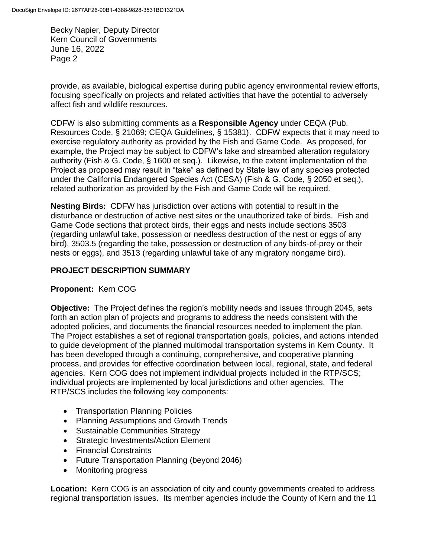provide, as available, biological expertise during public agency environmental review efforts, focusing specifically on projects and related activities that have the potential to adversely affect fish and wildlife resources.

CDFW is also submitting comments as a **Responsible Agency** under CEQA (Pub. Resources Code, § 21069; CEQA Guidelines, § 15381). CDFW expects that it may need to exercise regulatory authority as provided by the Fish and Game Code. As proposed, for example, the Project may be subject to CDFW's lake and streambed alteration regulatory authority (Fish & G. Code, § 1600 et seq.). Likewise, to the extent implementation of the Project as proposed may result in "take" as defined by State law of any species protected under the California Endangered Species Act (CESA) (Fish & G. Code, § 2050 et seq.), related authorization as provided by the Fish and Game Code will be required.

**Nesting Birds:** CDFW has jurisdiction over actions with potential to result in the disturbance or destruction of active nest sites or the unauthorized take of birds. Fish and Game Code sections that protect birds, their eggs and nests include sections 3503 (regarding unlawful take, possession or needless destruction of the nest or eggs of any bird), 3503.5 (regarding the take, possession or destruction of any birds-of-prey or their nests or eggs), and 3513 (regarding unlawful take of any migratory nongame bird).

#### **PROJECT DESCRIPTION SUMMARY**

#### **Proponent:** Kern COG

**Objective:** The Project defines the region's mobility needs and issues through 2045, sets forth an action plan of projects and programs to address the needs consistent with the adopted policies, and documents the financial resources needed to implement the plan. The Project establishes a set of regional transportation goals, policies, and actions intended to guide development of the planned multimodal transportation systems in Kern County. It has been developed through a continuing, comprehensive, and cooperative planning process, and provides for effective coordination between local, regional, state, and federal agencies. Kern COG does not implement individual projects included in the RTP/SCS; individual projects are implemented by local jurisdictions and other agencies. The RTP/SCS includes the following key components:

- Transportation Planning Policies
- Planning Assumptions and Growth Trends
- Sustainable Communities Strategy
- Strategic Investments/Action Element
- Financial Constraints
- Future Transportation Planning (beyond 2046)
- Monitoring progress

**Location:** Kern COG is an association of city and county governments created to address regional transportation issues. Its member agencies include the County of Kern and the 11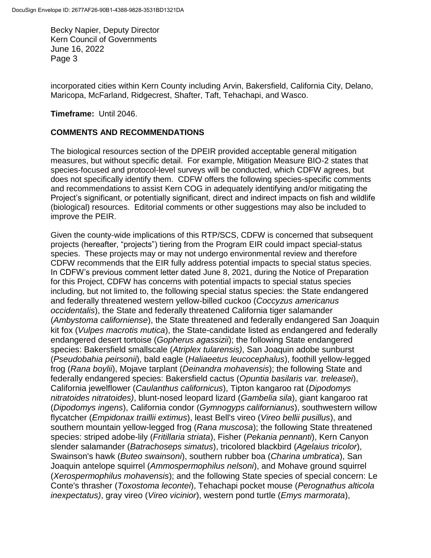incorporated cities within Kern County including Arvin, Bakersfield, California City, Delano, Maricopa, McFarland, Ridgecrest, Shafter, Taft, Tehachapi, and Wasco.

**Timeframe:** Until 2046.

#### **COMMENTS AND RECOMMENDATIONS**

The biological resources section of the DPEIR provided acceptable general mitigation measures, but without specific detail. For example, Mitigation Measure BIO-2 states that species-focused and protocol-level surveys will be conducted, which CDFW agrees, but does not specifically identify them. CDFW offers the following species-specific comments and recommendations to assist Kern COG in adequately identifying and/or mitigating the Project's significant, or potentially significant, direct and indirect impacts on fish and wildlife (biological) resources. Editorial comments or other suggestions may also be included to improve the PEIR.

Given the county-wide implications of this RTP/SCS, CDFW is concerned that subsequent projects (hereafter, "projects") tiering from the Program EIR could impact special-status species. These projects may or may not undergo environmental review and therefore CDFW recommends that the EIR fully address potential impacts to special status species. In CDFW's previous comment letter dated June 8, 2021, during the Notice of Preparation for this Project, CDFW has concerns with potential impacts to special status species including, but not limited to, the following special status species: the State endangered and federally threatened western yellow-billed cuckoo (*Coccyzus americanus occidentalis*), the State and federally threatened California tiger salamander (*Ambystoma californiense*), the State threatened and federally endangered San Joaquin kit fox (*Vulpes macrotis mutica*), the State-candidate listed as endangered and federally endangered desert tortoise (*Gopherus agassizii*); the following State endangered species: Bakersfield smallscale (*Atriplex tularensis)*, San Joaquin adobe sunburst (*Pseudobahia peirsonii*), bald eagle (*Haliaeetus leucocephalus*), foothill yellow-legged frog (*Rana boylii*), Mojave tarplant (*Deinandra mohavensis*); the following State and federally endangered species: Bakersfield cactus (*Opuntia basilaris var. treleasei*), California jewelflower (*Caulanthus californicus*), Tipton kangaroo rat (*Dipodomys nitratoides nitratoides)*, blunt-nosed leopard lizard (*Gambelia sila*), giant kangaroo rat (*Dipodomys ingens*), California condor (*Gymnogyps californianus*), southwestern willow flycatcher (*Empidonax traillii extimus*), least Bell's vireo (*Vireo bellii pusillus*), and southern mountain yellow-legged frog (*Rana muscosa*); the following State threatened species: striped adobe-lily (*Fritillaria striata*), Fisher (*Pekania pennanti*), Kern Canyon slender salamander (*Batrachoseps simatus*), tricolored blackbird (*Agelaius tricolor*), Swainson's hawk (*Buteo swainsoni*), southern rubber boa (*Charina umbratica*), San Joaquin antelope squirrel (*Ammospermophilus nelsoni*), and Mohave ground squirrel (*Xerospermophilus mohavensis*); and the following State species of special concern: Le Conte's thrasher (*Toxostoma lecontei*), Tehachapi pocket mouse (*Perognathus alticola inexpectatus)*, gray vireo (*Vireo vicinior*), western pond turtle (*Emys marmorata*),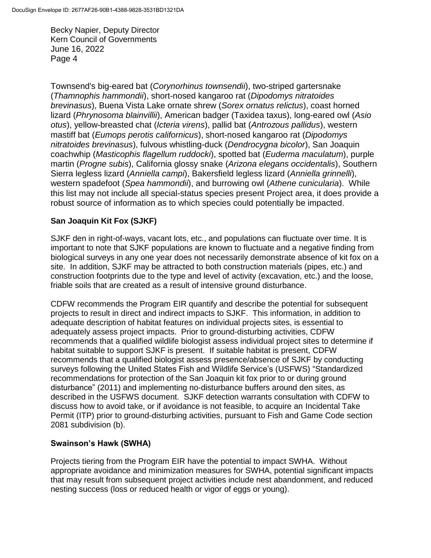Townsend's big-eared bat (*Corynorhinus townsendii*), two-striped gartersnake (*Thamnophis hammondii*), short-nosed kangaroo rat (*Dipodomys nitratoides brevinasus*), Buena Vista Lake ornate shrew (*Sorex ornatus relictus*), coast horned lizard (*Phrynosoma blainvillii*), American badger (Taxidea taxus), long-eared owl (*Asio otus*), yellow-breasted chat (*Icteria virens*), pallid bat (*Antrozous pallidus*), western mastiff bat (*Eumops perotis californicus*), short-nosed kangaroo rat (*Dipodomys nitratoides brevinasus*), fulvous whistling-duck (*Dendrocygna bicolor*), San Joaquin coachwhip (*Masticophis flagellum ruddocki*), spotted bat (*Euderma maculatum*), purple martin (*Progne subis*), California glossy snake (*Arizona elegans occidentalis*), Southern Sierra legless lizard (*Anniella campi*), Bakersfield legless lizard (*Anniella grinnelli*), western spadefoot (*Spea hammondii*), and burrowing owl (*Athene cunicularia*). While this list may not include all special-status species present Project area, it does provide a robust source of information as to which species could potentially be impacted.

# **San Joaquin Kit Fox (SJKF)**

SJKF den in right-of-ways, vacant lots, etc., and populations can fluctuate over time. It is important to note that SJKF populations are known to fluctuate and a negative finding from biological surveys in any one year does not necessarily demonstrate absence of kit fox on a site. In addition, SJKF may be attracted to both construction materials (pipes, etc.) and construction footprints due to the type and level of activity (excavation, etc.) and the loose, friable soils that are created as a result of intensive ground disturbance.

CDFW recommends the Program EIR quantify and describe the potential for subsequent projects to result in direct and indirect impacts to SJKF. This information, in addition to adequate description of habitat features on individual projects sites, is essential to adequately assess project impacts. Prior to ground-disturbing activities, CDFW recommends that a qualified wildlife biologist assess individual project sites to determine if habitat suitable to support SJKF is present. If suitable habitat is present, CDFW recommends that a qualified biologist assess presence/absence of SJKF by conducting surveys following the United States Fish and Wildlife Service's (USFWS) "Standardized recommendations for protection of the San Joaquin kit fox prior to or during ground disturbance" (2011) and implementing no-disturbance buffers around den sites, as described in the USFWS document. SJKF detection warrants consultation with CDFW to discuss how to avoid take, or if avoidance is not feasible, to acquire an Incidental Take Permit (ITP) prior to ground-disturbing activities, pursuant to Fish and Game Code section 2081 subdivision (b).

## **Swainson's Hawk (SWHA)**

Projects tiering from the Program EIR have the potential to impact SWHA. Without appropriate avoidance and minimization measures for SWHA, potential significant impacts that may result from subsequent project activities include nest abandonment, and reduced nesting success (loss or reduced health or vigor of eggs or young).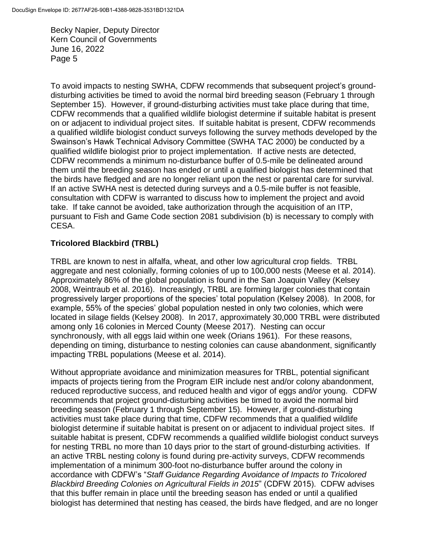To avoid impacts to nesting SWHA, CDFW recommends that subsequent project's grounddisturbing activities be timed to avoid the normal bird breeding season (February 1 through September 15). However, if ground-disturbing activities must take place during that time, CDFW recommends that a qualified wildlife biologist determine if suitable habitat is present on or adjacent to individual project sites. If suitable habitat is present, CDFW recommends a qualified wildlife biologist conduct surveys following the survey methods developed by the Swainson's Hawk Technical Advisory Committee (SWHA TAC 2000) be conducted by a qualified wildlife biologist prior to project implementation. If active nests are detected, CDFW recommends a minimum no-disturbance buffer of 0.5-mile be delineated around them until the breeding season has ended or until a qualified biologist has determined that the birds have fledged and are no longer reliant upon the nest or parental care for survival. If an active SWHA nest is detected during surveys and a 0.5-mile buffer is not feasible, consultation with CDFW is warranted to discuss how to implement the project and avoid take. If take cannot be avoided, take authorization through the acquisition of an ITP, pursuant to Fish and Game Code section 2081 subdivision (b) is necessary to comply with CESA.

#### **Tricolored Blackbird (TRBL)**

TRBL are known to nest in alfalfa, wheat, and other low agricultural crop fields. TRBL aggregate and nest colonially, forming colonies of up to 100,000 nests (Meese et al. 2014). Approximately 86% of the global population is found in the San Joaquin Valley (Kelsey 2008, Weintraub et al. 2016). Increasingly, TRBL are forming larger colonies that contain progressively larger proportions of the species' total population (Kelsey 2008). In 2008, for example, 55% of the species' global population nested in only two colonies, which were located in silage fields (Kelsey 2008). In 2017, approximately 30,000 TRBL were distributed among only 16 colonies in Merced County (Meese 2017). Nesting can occur synchronously, with all eggs laid within one week (Orians 1961). For these reasons, depending on timing, disturbance to nesting colonies can cause abandonment, significantly impacting TRBL populations (Meese et al. 2014).

Without appropriate avoidance and minimization measures for TRBL, potential significant impacts of projects tiering from the Program EIR include nest and/or colony abandonment, reduced reproductive success, and reduced health and vigor of eggs and/or young. CDFW recommends that project ground-disturbing activities be timed to avoid the normal bird breeding season (February 1 through September 15). However, if ground-disturbing activities must take place during that time, CDFW recommends that a qualified wildlife biologist determine if suitable habitat is present on or adjacent to individual project sites. If suitable habitat is present, CDFW recommends a qualified wildlife biologist conduct surveys for nesting TRBL no more than 10 days prior to the start of ground-disturbing activities. If an active TRBL nesting colony is found during pre-activity surveys, CDFW recommends implementation of a minimum 300-foot no-disturbance buffer around the colony in accordance with CDFW's "*Staff Guidance Regarding Avoidance of Impacts to Tricolored Blackbird Breeding Colonies on Agricultural Fields in 2015*" (CDFW 2015). CDFW advises that this buffer remain in place until the breeding season has ended or until a qualified biologist has determined that nesting has ceased, the birds have fledged, and are no longer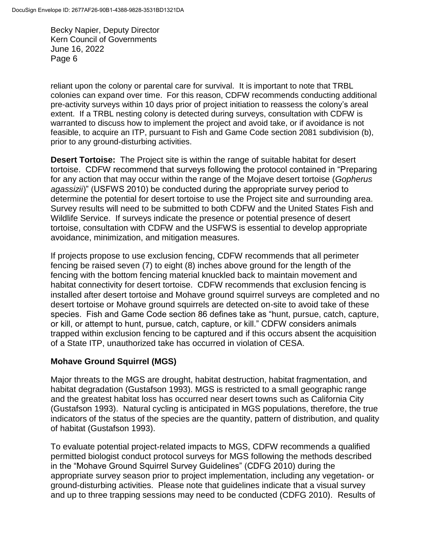reliant upon the colony or parental care for survival. It is important to note that TRBL colonies can expand over time. For this reason, CDFW recommends conducting additional pre-activity surveys within 10 days prior of project initiation to reassess the colony's areal extent. If a TRBL nesting colony is detected during surveys, consultation with CDFW is warranted to discuss how to implement the project and avoid take, or if avoidance is not feasible, to acquire an ITP, pursuant to Fish and Game Code section 2081 subdivision (b), prior to any ground-disturbing activities.

**Desert Tortoise:** The Project site is within the range of suitable habitat for desert tortoise. CDFW recommend that surveys following the protocol contained in "Preparing for any action that may occur within the range of the Mojave desert tortoise (*Gopherus agassizii*)" (USFWS 2010) be conducted during the appropriate survey period to determine the potential for desert tortoise to use the Project site and surrounding area. Survey results will need to be submitted to both CDFW and the United States Fish and Wildlife Service. If surveys indicate the presence or potential presence of desert tortoise, consultation with CDFW and the USFWS is essential to develop appropriate avoidance, minimization, and mitigation measures.

If projects propose to use exclusion fencing, CDFW recommends that all perimeter fencing be raised seven (7) to eight (8) inches above ground for the length of the fencing with the bottom fencing material knuckled back to maintain movement and habitat connectivity for desert tortoise. CDFW recommends that exclusion fencing is installed after desert tortoise and Mohave ground squirrel surveys are completed and no desert tortoise or Mohave ground squirrels are detected on-site to avoid take of these species. Fish and Game Code section 86 defines take as "hunt, pursue, catch, capture, or kill, or attempt to hunt, pursue, catch, capture, or kill." CDFW considers animals trapped within exclusion fencing to be captured and if this occurs absent the acquisition of a State ITP, unauthorized take has occurred in violation of CESA.

## **Mohave Ground Squirrel (MGS)**

Major threats to the MGS are drought, habitat destruction, habitat fragmentation, and habitat degradation (Gustafson 1993). MGS is restricted to a small geographic range and the greatest habitat loss has occurred near desert towns such as California City (Gustafson 1993). Natural cycling is anticipated in MGS populations, therefore, the true indicators of the status of the species are the quantity, pattern of distribution, and quality of habitat (Gustafson 1993).

To evaluate potential project-related impacts to MGS, CDFW recommends a qualified permitted biologist conduct protocol surveys for MGS following the methods described in the "Mohave Ground Squirrel Survey Guidelines" (CDFG 2010) during the appropriate survey season prior to project implementation, including any vegetation- or ground-disturbing activities. Please note that guidelines indicate that a visual survey and up to three trapping sessions may need to be conducted (CDFG 2010). Results of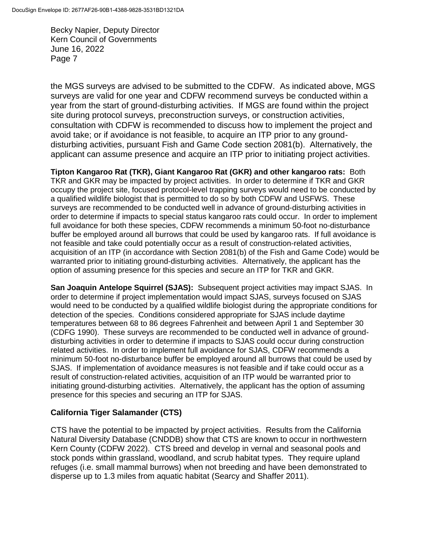the MGS surveys are advised to be submitted to the CDFW. As indicated above, MGS surveys are valid for one year and CDFW recommend surveys be conducted within a year from the start of ground-disturbing activities. If MGS are found within the project site during protocol surveys, preconstruction surveys, or construction activities, consultation with CDFW is recommended to discuss how to implement the project and avoid take; or if avoidance is not feasible, to acquire an ITP prior to any grounddisturbing activities, pursuant Fish and Game Code section 2081(b). Alternatively, the applicant can assume presence and acquire an ITP prior to initiating project activities.

**Tipton Kangaroo Rat (TKR), Giant Kangaroo Rat (GKR) and other kangaroo rats:** Both TKR and GKR may be impacted by project activities. In order to determine if TKR and GKR occupy the project site, focused protocol-level trapping surveys would need to be conducted by a qualified wildlife biologist that is permitted to do so by both CDFW and USFWS. These surveys are recommended to be conducted well in advance of ground-disturbing activities in order to determine if impacts to special status kangaroo rats could occur. In order to implement full avoidance for both these species, CDFW recommends a minimum 50-foot no-disturbance buffer be employed around all burrows that could be used by kangaroo rats. If full avoidance is not feasible and take could potentially occur as a result of construction-related activities, acquisition of an ITP (in accordance with Section 2081(b) of the Fish and Game Code) would be warranted prior to initiating ground-disturbing activities. Alternatively, the applicant has the option of assuming presence for this species and secure an ITP for TKR and GKR.

**San Joaquin Antelope Squirrel (SJAS):** Subsequent project activities may impact SJAS. In order to determine if project implementation would impact SJAS, surveys focused on SJAS would need to be conducted by a qualified wildlife biologist during the appropriate conditions for detection of the species. Conditions considered appropriate for SJAS include daytime temperatures between 68 to 86 degrees Fahrenheit and between April 1 and September 30 (CDFG 1990). These surveys are recommended to be conducted well in advance of grounddisturbing activities in order to determine if impacts to SJAS could occur during construction related activities. In order to implement full avoidance for SJAS, CDFW recommends a minimum 50-foot no-disturbance buffer be employed around all burrows that could be used by SJAS. If implementation of avoidance measures is not feasible and if take could occur as a result of construction-related activities, acquisition of an ITP would be warranted prior to initiating ground-disturbing activities. Alternatively, the applicant has the option of assuming presence for this species and securing an ITP for SJAS.

## **California Tiger Salamander (CTS)**

CTS have the potential to be impacted by project activities. Results from the California Natural Diversity Database (CNDDB) show that CTS are known to occur in northwestern Kern County (CDFW 2022). CTS breed and develop in vernal and seasonal pools and stock ponds within grassland, woodland, and scrub habitat types. They require upland refuges (i.e. small mammal burrows) when not breeding and have been demonstrated to disperse up to 1.3 miles from aquatic habitat (Searcy and Shaffer 2011).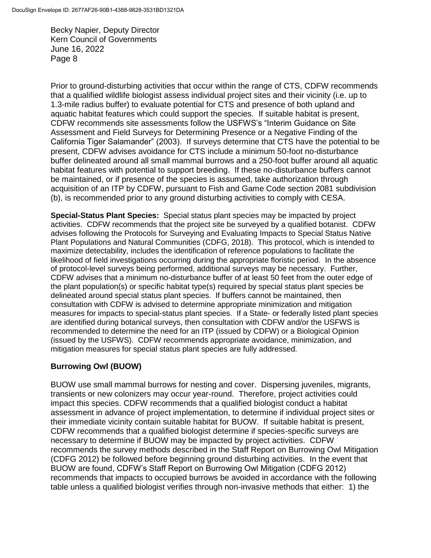Prior to ground-disturbing activities that occur within the range of CTS, CDFW recommends that a qualified wildlife biologist assess individual project sites and their vicinity (i.e. up to 1.3-mile radius buffer) to evaluate potential for CTS and presence of both upland and aquatic habitat features which could support the species. If suitable habitat is present, CDFW recommends site assessments follow the USFWS's "Interim Guidance on Site Assessment and Field Surveys for Determining Presence or a Negative Finding of the California Tiger Salamander" (2003). If surveys determine that CTS have the potential to be present, CDFW advises avoidance for CTS include a minimum 50-foot no-disturbance buffer delineated around all small mammal burrows and a 250-foot buffer around all aquatic habitat features with potential to support breeding. If these no-disturbance buffers cannot be maintained, or if presence of the species is assumed, take authorization through acquisition of an ITP by CDFW, pursuant to Fish and Game Code section 2081 subdivision (b), is recommended prior to any ground disturbing activities to comply with CESA.

**Special-Status Plant Species:** Special status plant species may be impacted by project activities. CDFW recommends that the project site be surveyed by a qualified botanist. CDFW advises following the Protocols for Surveying and Evaluating Impacts to Special Status Native Plant Populations and Natural Communities (CDFG, 2018). This protocol, which is intended to maximize detectability, includes the identification of reference populations to facilitate the likelihood of field investigations occurring during the appropriate floristic period. In the absence of protocol-level surveys being performed, additional surveys may be necessary. Further, CDFW advises that a minimum no-disturbance buffer of at least 50 feet from the outer edge of the plant population(s) or specific habitat type(s) required by special status plant species be delineated around special status plant species. If buffers cannot be maintained, then consultation with CDFW is advised to determine appropriate minimization and mitigation measures for impacts to special-status plant species. If a State- or federally listed plant species are identified during botanical surveys, then consultation with CDFW and/or the USFWS is recommended to determine the need for an ITP (issued by CDFW) or a Biological Opinion (issued by the USFWS). CDFW recommends appropriate avoidance, minimization, and mitigation measures for special status plant species are fully addressed.

## **Burrowing Owl (BUOW)**

BUOW use small mammal burrows for nesting and cover. Dispersing juveniles, migrants, transients or new colonizers may occur year-round. Therefore, project activities could impact this species. CDFW recommends that a qualified biologist conduct a habitat assessment in advance of project implementation, to determine if individual project sites or their immediate vicinity contain suitable habitat for BUOW. If suitable habitat is present, CDFW recommends that a qualified biologist determine if species-specific surveys are necessary to determine if BUOW may be impacted by project activities. CDFW recommends the survey methods described in the Staff Report on Burrowing Owl Mitigation (CDFG 2012) be followed before beginning ground disturbing activities. In the event that BUOW are found, CDFW's Staff Report on Burrowing Owl Mitigation (CDFG 2012) recommends that impacts to occupied burrows be avoided in accordance with the following table unless a qualified biologist verifies through non-invasive methods that either: 1) the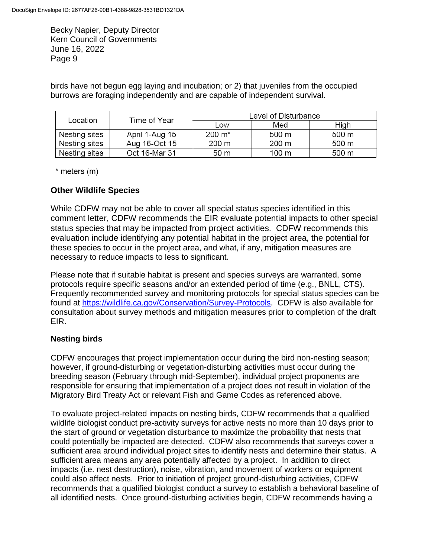birds have not begun egg laying and incubation; or 2) that juveniles from the occupied burrows are foraging independently and are capable of independent survival.

| Location      | Time of Year   | Level of Disturbance |       |       |
|---------------|----------------|----------------------|-------|-------|
|               |                | Low                  | Med   | High  |
| Nesting sites | April 1-Aug 15 | $200 \; \text{m}^*$  | 500 m | 500 m |
| Nesting sites | Aug 16-Oct 15  | $200 \text{ m}$      | 200 m | 500 m |
| Nesting sites | Oct 16-Mar 31  | 50 m                 | 100 m | 500 m |

 $*$  meters  $(m)$ 

## **Other Wildlife Species**

While CDFW may not be able to cover all special status species identified in this comment letter, CDFW recommends the EIR evaluate potential impacts to other special status species that may be impacted from project activities. CDFW recommends this evaluation include identifying any potential habitat in the project area, the potential for these species to occur in the project area, and what, if any, mitigation measures are necessary to reduce impacts to less to significant.

Please note that if suitable habitat is present and species surveys are warranted, some protocols require specific seasons and/or an extended period of time (e.g., BNLL, CTS). Frequently recommended survey and monitoring protocols for special status species can be found at [https://wildlife.ca.gov/Conservation/Survey-Protocols.](https://wildlife.ca.gov/Conservation/Survey-Protocols) CDFW is also available for consultation about survey methods and mitigation measures prior to completion of the draft EIR.

## **Nesting birds**

CDFW encourages that project implementation occur during the bird non-nesting season; however, if ground-disturbing or vegetation-disturbing activities must occur during the breeding season (February through mid-September), individual project proponents are responsible for ensuring that implementation of a project does not result in violation of the Migratory Bird Treaty Act or relevant Fish and Game Codes as referenced above.

To evaluate project-related impacts on nesting birds, CDFW recommends that a qualified wildlife biologist conduct pre-activity surveys for active nests no more than 10 days prior to the start of ground or vegetation disturbance to maximize the probability that nests that could potentially be impacted are detected. CDFW also recommends that surveys cover a sufficient area around individual project sites to identify nests and determine their status. A sufficient area means any area potentially affected by a project. In addition to direct impacts (i.e. nest destruction), noise, vibration, and movement of workers or equipment could also affect nests. Prior to initiation of project ground-disturbing activities, CDFW recommends that a qualified biologist conduct a survey to establish a behavioral baseline of all identified nests. Once ground-disturbing activities begin, CDFW recommends having a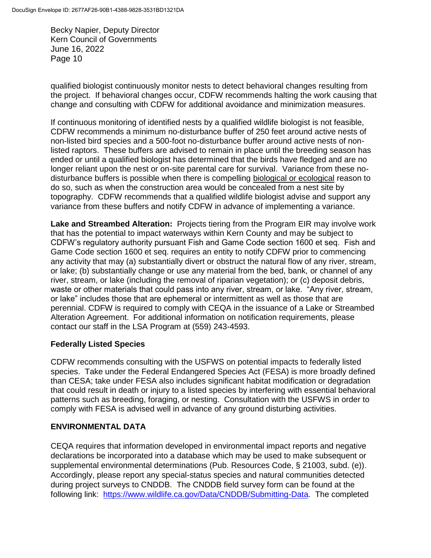qualified biologist continuously monitor nests to detect behavioral changes resulting from the project. If behavioral changes occur, CDFW recommends halting the work causing that change and consulting with CDFW for additional avoidance and minimization measures.

If continuous monitoring of identified nests by a qualified wildlife biologist is not feasible, CDFW recommends a minimum no-disturbance buffer of 250 feet around active nests of non-listed bird species and a 500-foot no-disturbance buffer around active nests of nonlisted raptors. These buffers are advised to remain in place until the breeding season has ended or until a qualified biologist has determined that the birds have fledged and are no longer reliant upon the nest or on-site parental care for survival. Variance from these nodisturbance buffers is possible when there is compelling biological or ecological reason to do so, such as when the construction area would be concealed from a nest site by topography. CDFW recommends that a qualified wildlife biologist advise and support any variance from these buffers and notify CDFW in advance of implementing a variance.

**Lake and Streambed Alteration:** Projects tiering from the Program EIR may involve work that has the potential to impact waterways within Kern County and may be subject to CDFW's regulatory authority pursuant Fish and Game Code section 1600 et seq. Fish and Game Code section 1600 et seq. requires an entity to notify CDFW prior to commencing any activity that may (a) substantially divert or obstruct the natural flow of any river, stream, or lake; (b) substantially change or use any material from the bed, bank, or channel of any river, stream, or lake (including the removal of riparian vegetation); or (c) deposit debris, waste or other materials that could pass into any river, stream, or lake. "Any river, stream, or lake" includes those that are ephemeral or intermittent as well as those that are perennial. CDFW is required to comply with CEQA in the issuance of a Lake or Streambed Alteration Agreement. For additional information on notification requirements, please contact our staff in the LSA Program at (559) 243-4593.

#### **Federally Listed Species**

CDFW recommends consulting with the USFWS on potential impacts to federally listed species. Take under the Federal Endangered Species Act (FESA) is more broadly defined than CESA; take under FESA also includes significant habitat modification or degradation that could result in death or injury to a listed species by interfering with essential behavioral patterns such as breeding, foraging, or nesting. Consultation with the USFWS in order to comply with FESA is advised well in advance of any ground disturbing activities.

#### **ENVIRONMENTAL DATA**

CEQA requires that information developed in environmental impact reports and negative declarations be incorporated into a database which may be used to make subsequent or supplemental environmental determinations (Pub. Resources Code, § 21003, subd. (e)). Accordingly, please report any special-status species and natural communities detected during project surveys to CNDDB. The CNDDB field survey form can be found at the following link: [https://www.wildlife.ca.gov/Data/CNDDB/Submitting-Data.](https://www.wildlife.ca.gov/Data/CNDDB/Submitting-Data) The completed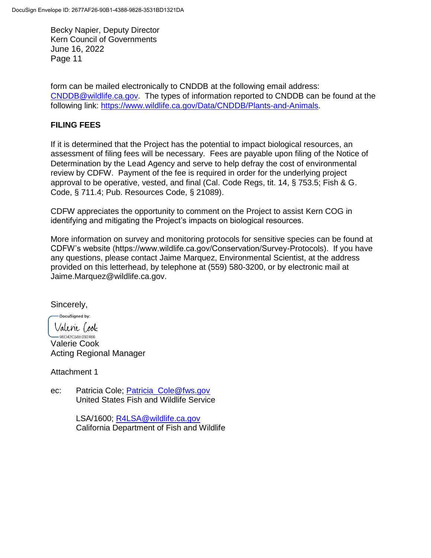form can be mailed electronically to CNDDB at the following email address: [CNDDB@wildlife.ca.gov.](mailto:CNDDB@wildlife.ca.gov) The types of information reported to CNDDB can be found at the following link: [https://www.wildlife.ca.gov/Data/CNDDB/Plants-and-Animals.](https://www.wildlife.ca.gov/Data/CNDDB/Plants-and-Animals)

#### **FILING FEES**

If it is determined that the Project has the potential to impact biological resources, an assessment of filing fees will be necessary. Fees are payable upon filing of the Notice of Determination by the Lead Agency and serve to help defray the cost of environmental review by CDFW. Payment of the fee is required in order for the underlying project approval to be operative, vested, and final (Cal. Code Regs, tit. 14, § 753.5; Fish & G. Code, § 711.4; Pub. Resources Code, § 21089).

CDFW appreciates the opportunity to comment on the Project to assist Kern COG in identifying and mitigating the Project's impacts on biological resources.

More information on survey and monitoring protocols for sensitive species can be found at CDFW's website (https://www.wildlife.ca.gov/Conservation/Survey-Protocols). If you have any questions, please contact Jaime Marquez, Environmental Scientist, at the address provided on this letterhead, by telephone at (559) 580-3200, or by electronic mail at Jaime.Marquez@wildlife.ca.gov.

Sincerely,

DocuSigned by: Valene (ook

 $-96D42C58E092466...$ Valerie Cook Acting Regional Manager

Attachment 1

ec: Patricia Cole; [Patricia\\_Cole@fws.gov](mailto:Patricia_Cole@fws.gov) United States Fish and Wildlife Service

> LSA/1600; [R4LSA@wildlife.ca.gov](mailto:R4LSA@wildlife.ca.gov) California Department of Fish and Wildlife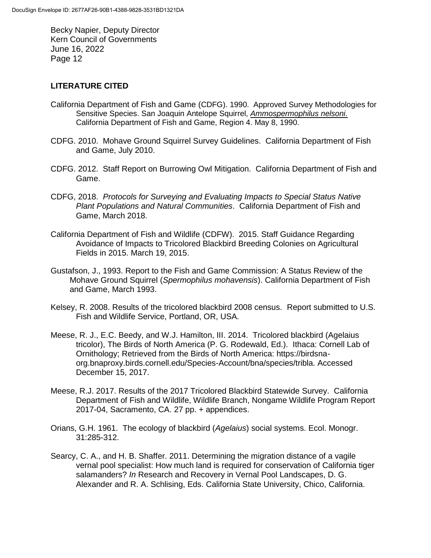#### **LITERATURE CITED**

- California Department of Fish and Game (CDFG). 1990. Approved Survey Methodologies for Sensitive Species. San Joaquin Antelope Squirrel, *Ammospermophilus nelsoni*. California Department of Fish and Game, Region 4. May 8, 1990.
- CDFG. 2010. Mohave Ground Squirrel Survey Guidelines. California Department of Fish and Game, July 2010.
- CDFG. 2012. Staff Report on Burrowing Owl Mitigation. California Department of Fish and Game.
- CDFG, 2018. *Protocols for Surveying and Evaluating Impacts to Special Status Native Plant Populations and Natural Communities*. California Department of Fish and Game, March 2018.
- California Department of Fish and Wildlife (CDFW). 2015. Staff Guidance Regarding Avoidance of Impacts to Tricolored Blackbird Breeding Colonies on Agricultural Fields in 2015. March 19, 2015.
- Gustafson, J., 1993. Report to the Fish and Game Commission: A Status Review of the Mohave Ground Squirrel (*Spermophilus mohavensis*). California Department of Fish and Game, March 1993.
- Kelsey, R. 2008. Results of the tricolored blackbird 2008 census. Report submitted to U.S. Fish and Wildlife Service, Portland, OR, USA.
- Meese, R. J., E.C. Beedy, and W.J. Hamilton, III. 2014. Tricolored blackbird (Agelaius tricolor), The Birds of North America (P. G. Rodewald, Ed.). Ithaca: Cornell Lab of Ornithology; Retrieved from the Birds of North America: https://birdsnaorg.bnaproxy.birds.cornell.edu/Species-Account/bna/species/tribla. Accessed December 15, 2017.
- Meese, R.J. 2017. Results of the 2017 Tricolored Blackbird Statewide Survey. California Department of Fish and Wildlife, Wildlife Branch, Nongame Wildlife Program Report 2017-04, Sacramento, CA. 27 pp. + appendices.
- Orians, G.H. 1961. The ecology of blackbird (*Agelaius*) social systems. Ecol. Monogr. 31:285-312.
- Searcy, C. A., and H. B. Shaffer. 2011. Determining the migration distance of a vagile vernal pool specialist: How much land is required for conservation of California tiger salamanders? *In* Research and Recovery in Vernal Pool Landscapes, D. G. Alexander and R. A. Schlising, Eds. California State University, Chico, California.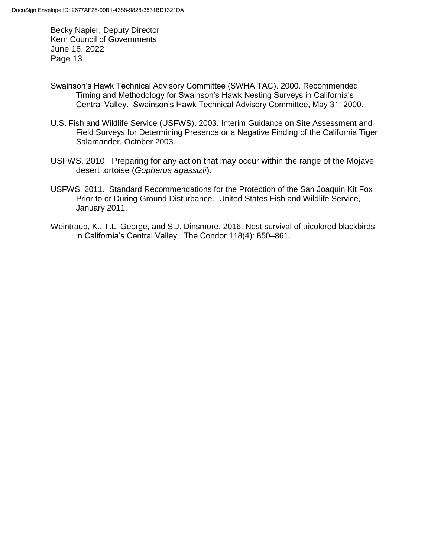- Swainson's Hawk Technical Advisory Committee (SWHA TAC). 2000. Recommended Timing and Methodology for Swainson's Hawk Nesting Surveys in California's Central Valley. Swainson's Hawk Technical Advisory Committee, May 31, 2000.
- U.S. Fish and Wildlife Service (USFWS). 2003. Interim Guidance on Site Assessment and Field Surveys for Determining Presence or a Negative Finding of the California Tiger Salamander, October 2003.
- USFWS, 2010. Preparing for any action that may occur within the range of the Mojave desert tortoise (*Gopherus agassizii*).
- USFWS. 2011. Standard Recommendations for the Protection of the San Joaquin Kit Fox Prior to or During Ground Disturbance. United States Fish and Wildlife Service, January 2011.
- Weintraub, K., T.L. George, and S.J. Dinsmore. 2016. Nest survival of tricolored blackbirds in California's Central Valley. The Condor 118(4): 850–861.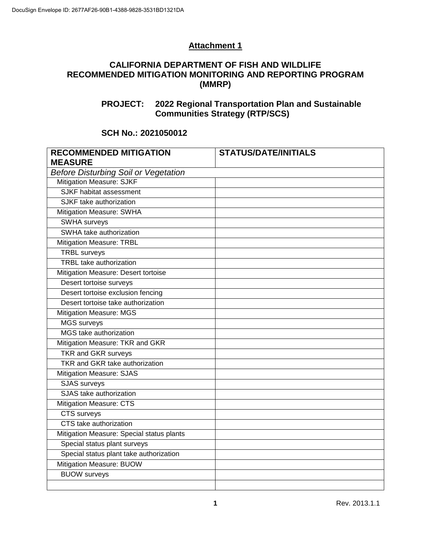# **Attachment 1**

## **CALIFORNIA DEPARTMENT OF FISH AND WILDLIFE RECOMMENDED MITIGATION MONITORING AND REPORTING PROGRAM (MMRP)**

# **PROJECT: 2022 Regional Transportation Plan and Sustainable Communities Strategy (RTP/SCS)**

# **SCH No.: 2021050012**

| <b>RECOMMENDED MITIGATION</b>               | <b>STATUS/DATE/INITIALS</b> |  |  |  |
|---------------------------------------------|-----------------------------|--|--|--|
| <b>MEASURE</b>                              |                             |  |  |  |
| <b>Before Disturbing Soil or Vegetation</b> |                             |  |  |  |
| <b>Mitigation Measure: SJKF</b>             |                             |  |  |  |
| SJKF habitat assessment                     |                             |  |  |  |
| SJKF take authorization                     |                             |  |  |  |
| <b>Mitigation Measure: SWHA</b>             |                             |  |  |  |
| <b>SWHA surveys</b>                         |                             |  |  |  |
| SWHA take authorization                     |                             |  |  |  |
| Mitigation Measure: TRBL                    |                             |  |  |  |
| <b>TRBL</b> surveys                         |                             |  |  |  |
| <b>TRBL</b> take authorization              |                             |  |  |  |
| Mitigation Measure: Desert tortoise         |                             |  |  |  |
| Desert tortoise surveys                     |                             |  |  |  |
| Desert tortoise exclusion fencing           |                             |  |  |  |
| Desert tortoise take authorization          |                             |  |  |  |
| <b>Mitigation Measure: MGS</b>              |                             |  |  |  |
| <b>MGS</b> surveys                          |                             |  |  |  |
| MGS take authorization                      |                             |  |  |  |
| Mitigation Measure: TKR and GKR             |                             |  |  |  |
| <b>TKR and GKR surveys</b>                  |                             |  |  |  |
| <b>TKR and GKR take authorization</b>       |                             |  |  |  |
| <b>Mitigation Measure: SJAS</b>             |                             |  |  |  |
| <b>SJAS</b> surveys                         |                             |  |  |  |
| SJAS take authorization                     |                             |  |  |  |
| <b>Mitigation Measure: CTS</b>              |                             |  |  |  |
| CTS surveys                                 |                             |  |  |  |
| CTS take authorization                      |                             |  |  |  |
| Mitigation Measure: Special status plants   |                             |  |  |  |
| Special status plant surveys                |                             |  |  |  |
| Special status plant take authorization     |                             |  |  |  |
| Mitigation Measure: BUOW                    |                             |  |  |  |
| <b>BUOW</b> surveys                         |                             |  |  |  |
|                                             |                             |  |  |  |